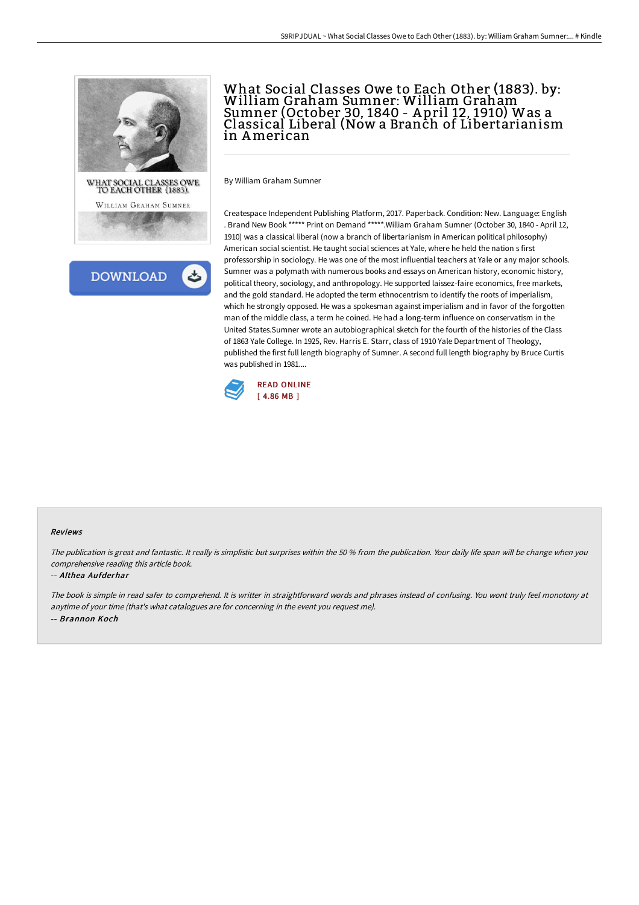



# What Social Classes Owe to Each Other (1883). by: William Graham Sumner: William Graham Sumner (October 30, 1840 - A pril 12, 1910) Was a Classical Liberal (Now a Branch of Libertarianism in American

By William Graham Sumner

Createspace Independent Publishing Platform, 2017. Paperback. Condition: New. Language: English . Brand New Book \*\*\*\*\* Print on Demand \*\*\*\*\*.William Graham Sumner (October 30, 1840 - April 12, 1910) was a classical liberal (now a branch of libertarianism in American political philosophy) American social scientist. He taught social sciences at Yale, where he held the nation s first professorship in sociology. He was one of the most influential teachers at Yale or any major schools. Sumner was a polymath with numerous books and essays on American history, economic history, political theory, sociology, and anthropology. He supported laissez-faire economics, free markets, and the gold standard. He adopted the term ethnocentrism to identify the roots of imperialism, which he strongly opposed. He was a spokesman against imperialism and in favor of the forgotten man of the middle class, a term he coined. He had a long-term influence on conservatism in the United States.Sumner wrote an autobiographical sketch for the fourth of the histories of the Class of 1863 Yale College. In 1925, Rev. Harris E. Starr, class of 1910 Yale Department of Theology, published the first full length biography of Sumner. A second full length biography by Bruce Curtis was published in 1981....



#### Reviews

The publication is great and fantastic. It really is simplistic but surprises within the <sup>50</sup> % from the publication. Your daily life span will be change when you comprehensive reading this article book.

#### -- Althea Aufderhar

The book is simple in read safer to comprehend. It is writter in straightforward words and phrases instead of confusing. You wont truly feel monotony at anytime of your time (that's what catalogues are for concerning in the event you request me). -- Brannon Koch